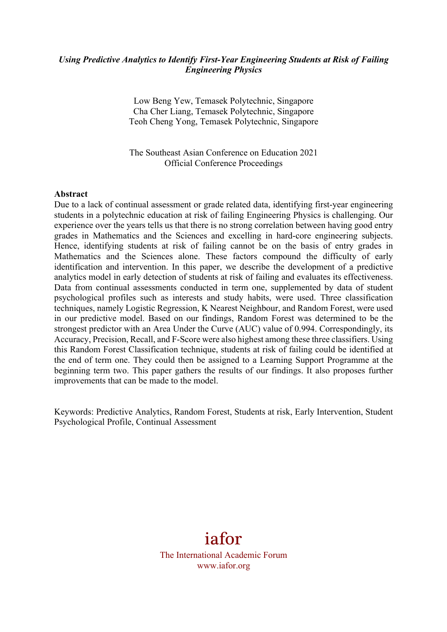## *Using Predictive Analytics to Identify First-Year Engineering Students at Risk of Failing Engineering Physics*

Low Beng Yew, Temasek Polytechnic, Singapore Cha Cher Liang, Temasek Polytechnic, Singapore Teoh Cheng Yong, Temasek Polytechnic, Singapore

The Southeast Asian Conference on Education 2021 Official Conference Proceedings

#### **Abstract**

Due to a lack of continual assessment or grade related data, identifying first-year engineering students in a polytechnic education at risk of failing Engineering Physics is challenging. Our experience over the years tells us that there is no strong correlation between having good entry grades in Mathematics and the Sciences and excelling in hard-core engineering subjects. Hence, identifying students at risk of failing cannot be on the basis of entry grades in Mathematics and the Sciences alone. These factors compound the difficulty of early identification and intervention. In this paper, we describe the development of a predictive analytics model in early detection of students at risk of failing and evaluates its effectiveness. Data from continual assessments conducted in term one, supplemented by data of student psychological profiles such as interests and study habits, were used. Three classification techniques, namely Logistic Regression, K Nearest Neighbour, and Random Forest, were used in our predictive model. Based on our findings, Random Forest was determined to be the strongest predictor with an Area Under the Curve (AUC) value of 0.994. Correspondingly, its Accuracy, Precision, Recall, and F-Score were also highest among these three classifiers. Using this Random Forest Classification technique, students at risk of failing could be identified at the end of term one. They could then be assigned to a Learning Support Programme at the beginning term two. This paper gathers the results of our findings. It also proposes further improvements that can be made to the model.

Keywords: Predictive Analytics, Random Forest, Students at risk, Early Intervention, Student Psychological Profile, Continual Assessment

# iafor

The International Academic Forum www.iafor.org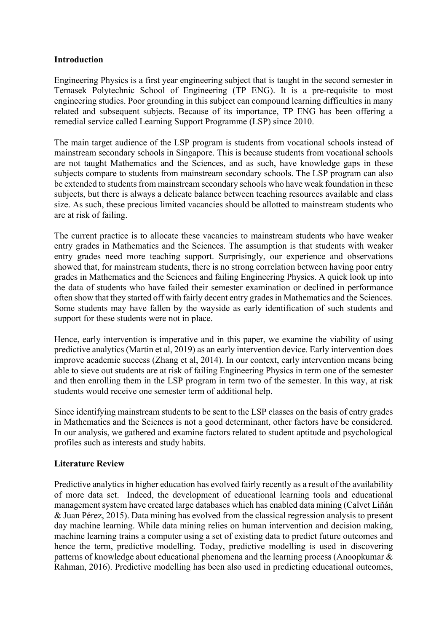## **Introduction**

Engineering Physics is a first year engineering subject that is taught in the second semester in Temasek Polytechnic School of Engineering (TP ENG). It is a pre-requisite to most engineering studies. Poor grounding in this subject can compound learning difficulties in many related and subsequent subjects. Because of its importance, TP ENG has been offering a remedial service called Learning Support Programme (LSP) since 2010.

The main target audience of the LSP program is students from vocational schools instead of mainstream secondary schools in Singapore. This is because students from vocational schools are not taught Mathematics and the Sciences, and as such, have knowledge gaps in these subjects compare to students from mainstream secondary schools. The LSP program can also be extended to students from mainstream secondary schools who have weak foundation in these subjects, but there is always a delicate balance between teaching resources available and class size. As such, these precious limited vacancies should be allotted to mainstream students who are at risk of failing.

The current practice is to allocate these vacancies to mainstream students who have weaker entry grades in Mathematics and the Sciences. The assumption is that students with weaker entry grades need more teaching support. Surprisingly, our experience and observations showed that, for mainstream students, there is no strong correlation between having poor entry grades in Mathematics and the Sciences and failing Engineering Physics. A quick look up into the data of students who have failed their semester examination or declined in performance often show that they started off with fairly decent entry grades in Mathematics and the Sciences. Some students may have fallen by the wayside as early identification of such students and support for these students were not in place.

Hence, early intervention is imperative and in this paper, we examine the viability of using predictive analytics (Martin et al, 2019) as an early intervention device. Early intervention does improve academic success (Zhang et al, 2014). In our context, early intervention means being able to sieve out students are at risk of failing Engineering Physics in term one of the semester and then enrolling them in the LSP program in term two of the semester. In this way, at risk students would receive one semester term of additional help.

Since identifying mainstream students to be sent to the LSP classes on the basis of entry grades in Mathematics and the Sciences is not a good determinant, other factors have be considered. In our analysis, we gathered and examine factors related to student aptitude and psychological profiles such as interests and study habits.

## **Literature Review**

Predictive analytics in higher education has evolved fairly recently as a result of the availability of more data set. Indeed, the development of educational learning tools and educational management system have created large databases which has enabled data mining (Calvet Liñán & Juan Pérez, 2015). Data mining has evolved from the classical regression analysis to present day machine learning. While data mining relies on human intervention and decision making, machine learning trains a computer using a set of existing data to predict future outcomes and hence the term, predictive modelling. Today, predictive modelling is used in discovering patterns of knowledge about educational phenomena and the learning process (Anoopkumar & Rahman, 2016). Predictive modelling has been also used in predicting educational outcomes,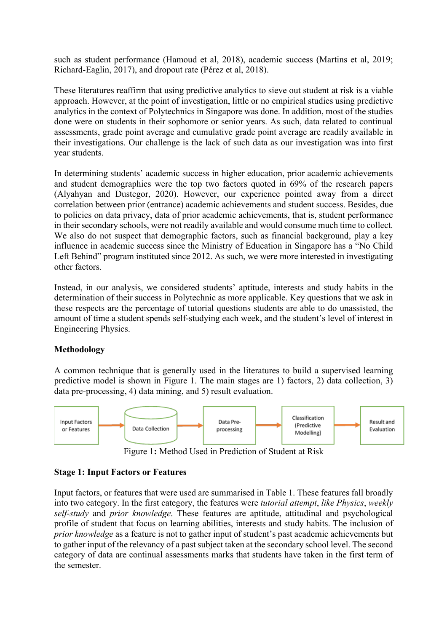such as student performance (Hamoud et al, 2018), academic success (Martins et al, 2019; Richard-Eaglin, 2017), and dropout rate (Pérez et al, 2018).

These literatures reaffirm that using predictive analytics to sieve out student at risk is a viable approach. However, at the point of investigation, little or no empirical studies using predictive analytics in the context of Polytechnics in Singapore was done. In addition, most of the studies done were on students in their sophomore or senior years. As such, data related to continual assessments, grade point average and cumulative grade point average are readily available in their investigations. Our challenge is the lack of such data as our investigation was into first year students.

In determining students' academic success in higher education, prior academic achievements and student demographics were the top two factors quoted in 69% of the research papers (Alyahyan and Dustegor, 2020). However, our experience pointed away from a direct correlation between prior (entrance) academic achievements and student success. Besides, due to policies on data privacy, data of prior academic achievements, that is, student performance in their secondary schools, were not readily available and would consume much time to collect. We also do not suspect that demographic factors, such as financial background, play a key influence in academic success since the Ministry of Education in Singapore has a "No Child Left Behind" program instituted since 2012. As such, we were more interested in investigating other factors.

Instead, in our analysis, we considered students' aptitude, interests and study habits in the determination of their success in Polytechnic as more applicable. Key questions that we ask in these respects are the percentage of tutorial questions students are able to do unassisted, the amount of time a student spends self-studying each week, and the student's level of interest in Engineering Physics.

## **Methodology**

A common technique that is generally used in the literatures to build a supervised learning predictive model is shown in Figure 1. The main stages are 1) factors, 2) data collection, 3) data pre-processing, 4) data mining, and 5) result evaluation.



Figure 1**:** Method Used in Prediction of Student at Risk

## **Stage 1: Input Factors or Features**

Input factors, or features that were used are summarised in Table 1. These features fall broadly into two category. In the first category, the features were *tutorial attempt*, *like Physics*, *weekly self-study* and *prior knowledge*. These features are aptitude, attitudinal and psychological profile of student that focus on learning abilities, interests and study habits. The inclusion of *prior knowledge* as a feature is not to gather input of student's past academic achievements but to gather input of the relevancy of a past subject taken at the secondary school level. The second category of data are continual assessments marks that students have taken in the first term of the semester.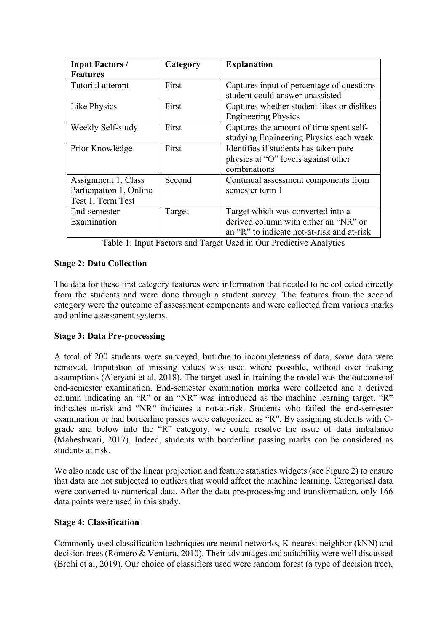| <b>Input Factors /</b>  | Category | <b>Explanation</b>                         |  |
|-------------------------|----------|--------------------------------------------|--|
| <b>Features</b>         |          |                                            |  |
| Tutorial attempt        | First    | Captures input of percentage of questions  |  |
|                         |          | student could answer unassisted            |  |
| Like Physics            | First    | Captures whether student likes or dislikes |  |
|                         |          | <b>Engineering Physics</b>                 |  |
| Weekly Self-study       | First    | Captures the amount of time spent self-    |  |
|                         |          | studying Engineering Physics each week     |  |
| Prior Knowledge         | First    | Identifies if students has taken pure      |  |
|                         |          | physics at "O" levels against other        |  |
|                         |          | combinations                               |  |
| Assignment 1, Class     | Second   | Continual assessment components from       |  |
| Participation 1, Online |          | semester term 1                            |  |
| Test 1, Term Test       |          |                                            |  |
| End-semester            | Target   | Target which was converted into a          |  |
| Examination             |          | derived column with either an "NR" or      |  |
|                         |          | an "R" to indicate not-at-risk and at-risk |  |

Table 1: Input Factors and Target Used in Our Predictive Analytics

## **Stage 2: Data Collection**

The data for these first category features were information that needed to be collected directly from the students and were done through a student survey. The features from the second category were the outcome of assessment components and were collected from various marks and online assessment systems.

# **Stage 3: Data Pre-processing**

A total of 200 students were surveyed, but due to incompleteness of data, some data were removed. Imputation of missing values was used where possible, without over making assumptions (Aleryani et al, 2018). The target used in training the model was the outcome of end-semester examination. End-semester examination marks were collected and a derived column indicating an "R" or an "NR" was introduced as the machine learning target. "R" indicates at-risk and "NR" indicates a not-at-risk. Students who failed the end-semester examination or had borderline passes were categorized as "R". By assigning students with Cgrade and below into the "R" category, we could resolve the issue of data imbalance (Maheshwari, 2017). Indeed, students with borderline passing marks can be considered as students at risk.

We also made use of the linear projection and feature statistics widgets (see Figure 2) to ensure that data are not subjected to outliers that would affect the machine learning. Categorical data were converted to numerical data. After the data pre-processing and transformation, only 166 data points were used in this study.

## **Stage 4: Classification**

Commonly used classification techniques are neural networks, K-nearest neighbor (kNN) and decision trees (Romero & Ventura, 2010). Their advantages and suitability were well discussed (Brohi et al, 2019). Our choice of classifiers used were random forest (a type of decision tree),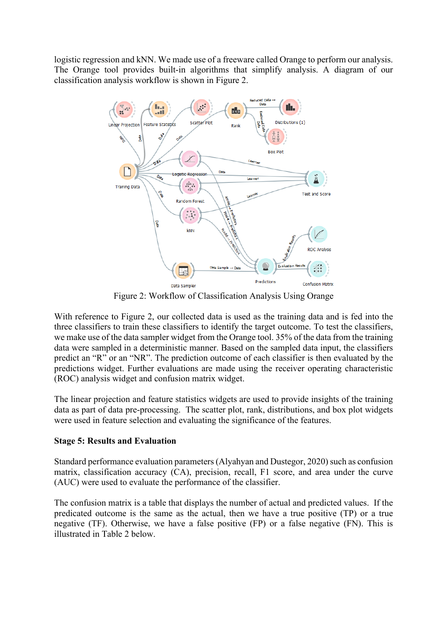logistic regression and kNN. We made use of a freeware called Orange to perform our analysis. The Orange tool provides built-in algorithms that simplify analysis. A diagram of our classification analysis workflow is shown in Figure 2.



Figure 2: Workflow of Classification Analysis Using Orange

With reference to Figure 2, our collected data is used as the training data and is fed into the three classifiers to train these classifiers to identify the target outcome. To test the classifiers, we make use of the data sampler widget from the Orange tool. 35% of the data from the training data were sampled in a deterministic manner. Based on the sampled data input, the classifiers predict an "R" or an "NR". The prediction outcome of each classifier is then evaluated by the predictions widget. Further evaluations are made using the receiver operating characteristic (ROC) analysis widget and confusion matrix widget.

The linear projection and feature statistics widgets are used to provide insights of the training data as part of data pre-processing. The scatter plot, rank, distributions, and box plot widgets were used in feature selection and evaluating the significance of the features.

## **Stage 5: Results and Evaluation**

Standard performance evaluation parameters (Alyahyan and Dustegor, 2020) such as confusion matrix, classification accuracy (CA), precision, recall, F1 score, and area under the curve (AUC) were used to evaluate the performance of the classifier.

The confusion matrix is a table that displays the number of actual and predicted values. If the predicated outcome is the same as the actual, then we have a true positive (TP) or a true negative (TF). Otherwise, we have a false positive (FP) or a false negative (FN). This is illustrated in Table 2 below.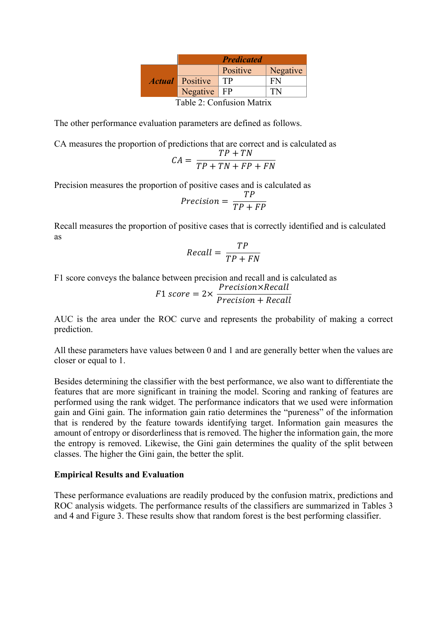|                           |                               | <b>Predicated</b> |          |  |
|---------------------------|-------------------------------|-------------------|----------|--|
|                           |                               | Positive          | Negative |  |
|                           | <i><b>Actual</b></i> Positive | TP                | FN       |  |
|                           | Negative $ $ FP               |                   | ΤN       |  |
| Table 2: Confusion Matrix |                               |                   |          |  |

The other performance evaluation parameters are defined as follows.

CA measures the proportion of predictions that are correct and is calculated as

$$
CA = \frac{TP + TN}{TP + TN + FP + FN}
$$

Precision measures the proportion of positive cases and is calculated as

$$
Precision = \frac{TP}{TP + FP}
$$

Recall measures the proportion of positive cases that is correctly identified and is calculated as

$$
Recall = \frac{TP}{TP + FN}
$$

F1 score conveys the balance between precision and recall and is calculated as

$$
F1 \, score = 2 \times \frac{Precision \times Recall}{Precision + Recall}
$$

AUC is the area under the ROC curve and represents the probability of making a correct prediction.

All these parameters have values between 0 and 1 and are generally better when the values are closer or equal to 1.

Besides determining the classifier with the best performance, we also want to differentiate the features that are more significant in training the model. Scoring and ranking of features are performed using the rank widget. The performance indicators that we used were information gain and Gini gain. The information gain ratio determines the "pureness" of the information that is rendered by the feature towards identifying target. Information gain measures the amount of entropy or disorderliness that is removed. The higher the information gain, the more the entropy is removed. Likewise, the Gini gain determines the quality of the split between classes. The higher the Gini gain, the better the split.

#### **Empirical Results and Evaluation**

These performance evaluations are readily produced by the confusion matrix, predictions and ROC analysis widgets. The performance results of the classifiers are summarized in Tables 3 and 4 and Figure 3. These results show that random forest is the best performing classifier.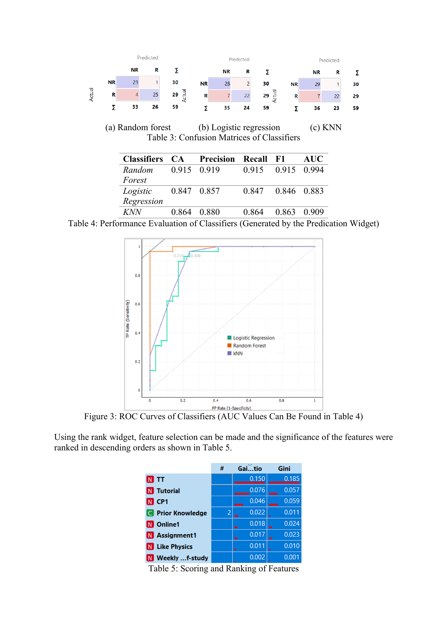

Table 4: Performance Evaluation of Classifiers (Generated by the Predication Widget)



Figure 3: ROC Curves of Classifiers (AUC Values Can Be Found in Table 4)

Using the rank widget, feature selection can be made and the significance of the features were ranked in descending orders as shown in Table 5.

|                          | # | Gaitio | Gini  |
|--------------------------|---|--------|-------|
| $N$ ti                   |   | 0.150  | 0.185 |
| <b>N</b> Tutorial        |   | 0.076  | 0.057 |
| N CP1                    |   | 0.046  | 0.059 |
| <b>C</b> Prior Knowledge | 2 | 0.022  | 0.011 |
| <b>N</b> Online1         |   | 0.018  | 0.024 |
| N Assignment1            |   | 0.017  | 0.023 |
| N Like Physics           |   | 0.011  | 0.010 |
| Weekly f-study           |   | 0.002  | 0.001 |

Table 5: Scoring and Ranking of Features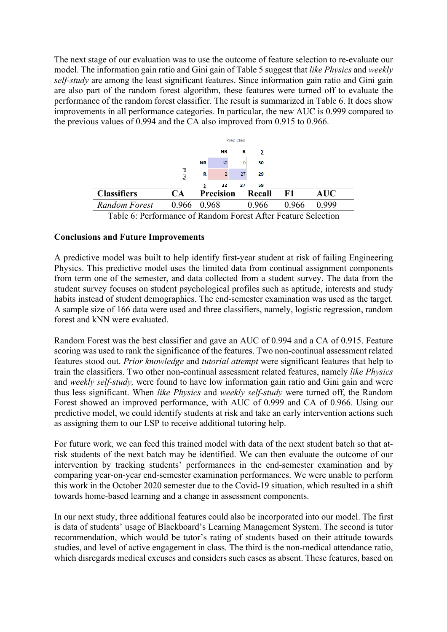The next stage of our evaluation was to use the outcome of feature selection to re-evaluate our model. The information gain ratio and Gini gain of Table 5 suggest that *like Physics* and *weekly self-study* are among the least significant features. Since information gain ratio and Gini gain are also part of the random forest algorithm, these features were turned off to evaluate the performance of the random forest classifier. The result is summarized in Table 6. It does show improvements in all performance categories. In particular, the new AUC is 0.999 compared to the previous values of 0.994 and the CA also improved from 0.915 to 0.966.



Table 6: Performance of Random Forest After Feature Selection

## **Conclusions and Future Improvements**

A predictive model was built to help identify first-year student at risk of failing Engineering Physics. This predictive model uses the limited data from continual assignment components from term one of the semester, and data collected from a student survey. The data from the student survey focuses on student psychological profiles such as aptitude, interests and study habits instead of student demographics. The end-semester examination was used as the target. A sample size of 166 data were used and three classifiers, namely, logistic regression, random forest and kNN were evaluated.

Random Forest was the best classifier and gave an AUC of 0.994 and a CA of 0.915. Feature scoring was used to rank the significance of the features. Two non-continual assessment related features stood out. *Prior knowledge* and *tutorial attempt* were significant features that help to train the classifiers. Two other non-continual assessment related features, namely *like Physics* and *weekly self-study,* were found to have low information gain ratio and Gini gain and were thus less significant. When *like Physics* and *weekly self-study* were turned off, the Random Forest showed an improved performance, with AUC of 0.999 and CA of 0.966. Using our predictive model, we could identify students at risk and take an early intervention actions such as assigning them to our LSP to receive additional tutoring help.

For future work, we can feed this trained model with data of the next student batch so that atrisk students of the next batch may be identified. We can then evaluate the outcome of our intervention by tracking students' performances in the end-semester examination and by comparing year-on-year end-semester examination performances. We were unable to perform this work in the October 2020 semester due to the Covid-19 situation, which resulted in a shift towards home-based learning and a change in assessment components.

In our next study, three additional features could also be incorporated into our model. The first is data of students' usage of Blackboard's Learning Management System. The second is tutor recommendation, which would be tutor's rating of students based on their attitude towards studies, and level of active engagement in class. The third is the non-medical attendance ratio, which disregards medical excuses and considers such cases as absent. These features, based on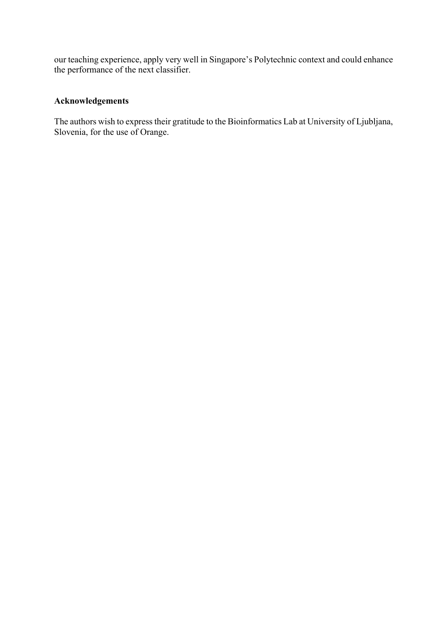our teaching experience, apply very well in Singapore's Polytechnic context and could enhance the performance of the next classifier.

# **Acknowledgements**

The authors wish to express their gratitude to the Bioinformatics Lab at University of Ljubljana, Slovenia, for the use of Orange.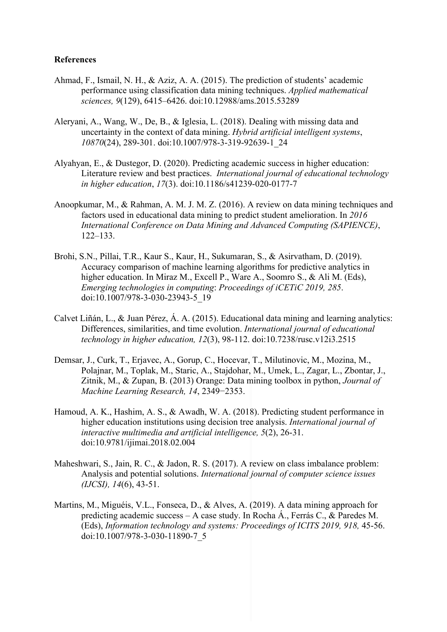#### **References**

- Ahmad, F., Ismail, N. H., & Aziz, A. A. (2015). The prediction of students' academic performance using classification data mining techniques. *Applied mathematical sciences, 9*(129), 6415–6426. doi:10.12988/ams.2015.53289
- Aleryani, A., Wang, W., De, B., & Iglesia, L. (2018). Dealing with missing data and uncertainty in the context of data mining. *Hybrid artificial intelligent systems*, *10870*(24), 289-301. doi:10.1007/978-3-319-92639-1\_24
- Alyahyan, E., & Dustegor, D. (2020). Predicting academic success in higher education: Literature review and best practices. *International journal of educational technology in higher education*, *17*(3). doi:10.1186/s41239-020-0177-7
- Anoopkumar, M., & Rahman, A. M. J. M. Z. (2016). A review on data mining techniques and factors used in educational data mining to predict student amelioration. In *2016 International Conference on Data Mining and Advanced Computing (SAPIENCE)*, 122–133.
- Brohi, S.N., Pillai, T.R., Kaur S., Kaur, H., Sukumaran, S., & Asirvatham, D. (2019). Accuracy comparison of machine learning algorithms for predictive analytics in higher education. In Miraz M., Excell P., Ware A., Soomro S., & Ali M. (Eds), *Emerging technologies in computing*: *Proceedings of iCETiC 2019, 285*. doi:10.1007/978-3-030-23943-5\_19
- Calvet Liñán, L., & Juan Pérez, Á. A. (2015). Educational data mining and learning analytics: Differences, similarities, and time evolution. *International journal of educational technology in higher education, 12*(3), 98-112. doi:10.7238/rusc.v12i3.2515
- Demsar, J., Curk, T., Erjavec, A., Gorup, C., Hocevar, T., Milutinovic, M., Mozina, M., Polajnar, M., Toplak, M., Staric, A., Stajdohar, M., Umek, L., Zagar, L., Zbontar, J., Zitnik, M., & Zupan, B. (2013) Orange: Data mining toolbox in python, *Journal of Machine Learning Research, 14*, 2349−2353.
- Hamoud, A. K., Hashim, A. S., & Awadh, W. A. (2018). Predicting student performance in higher education institutions using decision tree analysis. *International journal of interactive multimedia and artificial intelligence, 5*(2), 26-31. doi:10.9781/ijimai.2018.02.004
- Maheshwari, S., Jain, R. C., & Jadon, R. S. (2017). A review on class imbalance problem: Analysis and potential solutions. *International journal of computer science issues (IJCSI), 14*(6), 43-51.
- Martins, M., Miguéis, V.L., Fonseca, D., & Alves, A. (2019). A data mining approach for predicting academic success – A case study. In Rocha Á., Ferrás C., & Paredes M. (Eds), *Information technology and systems: Proceedings of ICITS 2019, 918,* 45-56. doi:10.1007/978-3-030-11890-7\_5